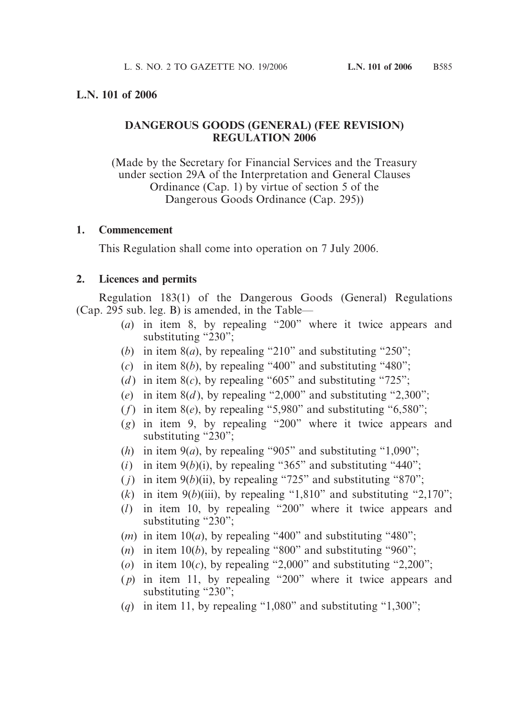## **L.N. 101 of 2006**

# **DANGEROUS GOODS (GENERAL) (FEE REVISION) REGULATION 2006**

(Made by the Secretary for Financial Services and the Treasury under section 29A of the Interpretation and General Clauses Ordinance (Cap. 1) by virtue of section 5 of the Dangerous Goods Ordinance (Cap. 295))

#### **1. Commencement**

This Regulation shall come into operation on 7 July 2006.

## **2. Licences and permits**

Regulation 183(1) of the Dangerous Goods (General) Regulations (Cap. 295 sub. leg. B) is amended, in the Table—

- (*a*) in item 8, by repealing "200" where it twice appears and substituting "230";
- (*b*) in item 8(*a*), by repealing "210" and substituting "250";
- (*c*) in item  $8(b)$ , by repealing "400" and substituting "480";
- (*d*) in item  $8(c)$ , by repealing "605" and substituting "725";
- (*e*) in item  $8(d)$ , by repealing "2,000" and substituting "2,300";
- ( $f$ ) in item  $8(e)$ , by repealing "5,980" and substituting "6,580";
- (*g*) in item 9, by repealing "200" where it twice appears and substituting " $230$ ";
- (*h*) in item  $9(a)$ , by repealing "905" and substituting "1,090";
- (*i*) in item  $9(b)(i)$ , by repealing "365" and substituting "440";
- ( $j$ ) in item 9( $b$ )(ii), by repealing "725" and substituting "870";
- (*k*) in item  $9(b)$ (iii), by repealing "1,810" and substituting "2,170";
- (*l*) in item 10, by repealing "200" where it twice appears and substituting "230";
- $(m)$  in item 10(*a*), by repealing "400" and substituting "480";
- (*n*) in item 10(*b*), by repealing "800" and substituting "960";
- (*o*) in item  $10(c)$ , by repealing "2,000" and substituting "2,200";
- ( *p*) in item 11, by repealing "200" where it twice appears and substituting "230";
- (*q*) in item 11, by repealing "1,080" and substituting "1,300";